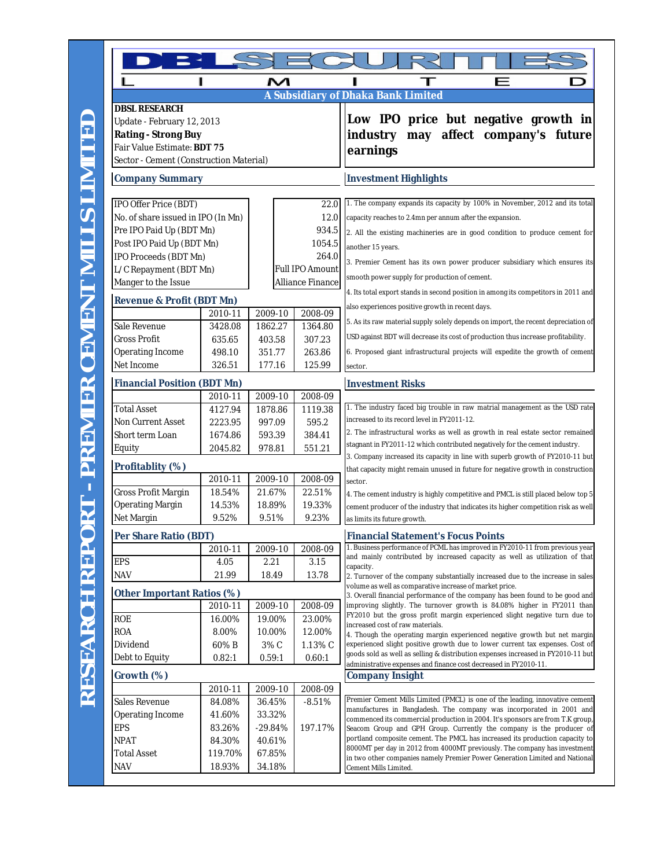|                                                                        | н       | м         |                  |                                                                                                                                                                   |
|------------------------------------------------------------------------|---------|-----------|------------------|-------------------------------------------------------------------------------------------------------------------------------------------------------------------|
|                                                                        |         |           |                  | <b>A Subsidiary of Dhaka Bank Limited</b>                                                                                                                         |
| <b>DBSL RESEARCH</b>                                                   |         |           |                  |                                                                                                                                                                   |
| Update - February 12, 2013                                             |         |           |                  | Low IPO price but negative growth in                                                                                                                              |
| <b>Rating - Strong Buy</b>                                             |         |           |                  | may affect company's future<br>industry                                                                                                                           |
| Fair Value Estimate: BDT 75<br>Sector - Cement (Construction Material) |         |           |                  | earnings                                                                                                                                                          |
| <b>Company Summary</b>                                                 |         |           |                  | <b>Investment Highlights</b>                                                                                                                                      |
|                                                                        |         |           |                  |                                                                                                                                                                   |
| IPO Offer Price (BDT)                                                  |         |           | 22.0             | 1. The company expands its capacity by 100% in November, 2012 and its total                                                                                       |
| No. of share issued in IPO (In Mn)                                     |         |           | 12.0             | capacity reaches to 2.4mn per annum after the expansion.                                                                                                          |
| Pre IPO Paid Up (BDT Mn)                                               |         |           | 934.5            | 2. All the existing machineries are in good condition to produce cement for                                                                                       |
| Post IPO Paid Up (BDT Mn)                                              |         |           | 1054.5           | another 15 years.                                                                                                                                                 |
| IPO Proceeds (BDT Mn)                                                  |         |           | 264.0            | 3. Premier Cement has its own power producer subsidiary which ensures its                                                                                         |
| L/C Repayment (BDT Mn)                                                 |         |           | Full IPO Amount  | smooth power supply for production of cement.                                                                                                                     |
| Manger to the Issue                                                    |         |           | Alliance Finance | 4. Its total export stands in second position in among its competitors in 2011 and                                                                                |
| <b>Revenue &amp; Profit (BDT Mn)</b>                                   |         |           |                  | also experiences positive growth in recent days.                                                                                                                  |
|                                                                        | 2010-11 | 2009-10   | 2008-09          | 5. As its raw material supply solely depends on import, the recent depreciation of                                                                                |
| Sale Revenue                                                           | 3428.08 | 1862.27   | 1364.80          |                                                                                                                                                                   |
| Gross Profit                                                           | 635.65  | 403.58    | 307.23           | USD against BDT will decrease its cost of production thus increase profitability.                                                                                 |
| Operating Income                                                       | 498.10  | 351.77    | 263.86           | 6. Proposed giant infrastructural projects will expedite the growth of cement                                                                                     |
| Net Income                                                             | 326.51  | 177.16    | 125.99           | sector.                                                                                                                                                           |
| <b>Financial Position (BDT Mn)</b>                                     |         |           |                  | <b>Investment Risks</b>                                                                                                                                           |
|                                                                        | 2010-11 | 2009-10   | 2008-09          |                                                                                                                                                                   |
| <b>Total Asset</b>                                                     | 4127.94 | 1878.86   | 1119.38          | 1. The industry faced big trouble in raw matrial management as the USD rate                                                                                       |
| Non Current Asset                                                      | 2223.95 | 997.09    | 595.2            | increased to its record level in FY2011-12.                                                                                                                       |
| Short term Loan                                                        | 1674.86 | 593.39    | 384.41           | 2. The infrastructural works as well as growth in real estate sector remained<br>stagnant in FY2011-12 which contributed negatively for the cement industry.      |
| Equity                                                                 | 2045.82 | 978.81    | 551.21           | 3. Company increased its capacity in line with superb growth of FY2010-11 but                                                                                     |
| Profitablity (%)                                                       |         |           |                  | that capacity might remain unused in future for negative growth in construction                                                                                   |
|                                                                        | 2010-11 | 2009-10   | 2008-09          | sector.                                                                                                                                                           |
| Gross Profit Margin                                                    | 18.54%  | 21.67%    | 22.51%           | 4. The cement industry is highly competitive and PMCL is still placed below top 5                                                                                 |
| Operating Margin                                                       | 14.53%  | 18.89%    | 19.33%           | cement producer of the industry that indicates its higher competition risk as well                                                                                |
| Net Margin                                                             | 9.52%   | 9.51%     | 9.23%            | as limits its future growth.                                                                                                                                      |
| Per Share Ratio (BDT)                                                  |         |           |                  | <b>Financial Statement's Focus Points</b>                                                                                                                         |
|                                                                        | 2010-11 | 2009-10   | 2008-09          | 1. Business performance of PCML has improved in FY2010-11 from previous year<br>and mainly contributed by increased capacity as well as utilization of that       |
| <b>EPS</b>                                                             | 4.05    | 2.21      | 3.15             | capacity.                                                                                                                                                         |
| <b>NAV</b>                                                             | 21.99   | 18.49     | 13.78            | 2. Turnover of the company substantially increased due to the increase in sales<br>volume as well as comparative increase of market price.                        |
| Other Important Ratios (%)                                             |         |           |                  | 3. Overall financial performance of the company has been found to be good and                                                                                     |
|                                                                        | 2010-11 | 2009-10   | 2008-09          | improving slightly. The turnover growth is 84.08% higher in FY2011 than                                                                                           |
| ROE                                                                    | 16.00%  | 19.00%    | 23.00%           | FY2010 but the gross profit margin experienced slight negative turn due to<br>increased cost of raw materials.                                                    |
| <b>ROA</b>                                                             | 8.00%   | 10.00%    | 12.00%           | 4. Though the operating margin experienced negative growth but net margin                                                                                         |
| Dividend                                                               | 60%B    | 3% C      | 1.13% C          | experienced slight positive growth due to lower current tax expenses. Cost of<br>goods sold as well as selling & distribution expenses increased in FY2010-11 but |
| Debt to Equity                                                         | 0.82:1  | 0.59:1    | 0.60:1           | administrative expenses and finance cost decreased in FY2010-11.                                                                                                  |
| Growth (%)                                                             |         |           |                  | <b>Company Insight</b>                                                                                                                                            |
|                                                                        | 2010-11 | 2009-10   | 2008-09          |                                                                                                                                                                   |
| Sales Revenue                                                          | 84.08%  | 36.45%    | $-8.51%$         | Premier Cement Mills Limited (PMCL) is one of the leading, innovative cement                                                                                      |
| Operating Income                                                       | 41.60%  | 33.32%    |                  | manufactures in Bangladesh. The company was incorporated in 2001 and<br>commenced its commercial production in 2004. It's sponsors are from T.K group,            |
| EPS                                                                    | 83.26%  | $-29.84%$ | 197.17%          | Seacom Group and GPH Group. Currently the company is the producer of                                                                                              |
| <b>NPAT</b>                                                            | 84.30%  | 40.61%    |                  | portland composite cement. The PMCL has increased its production capacity to                                                                                      |
| <b>Total Asset</b>                                                     | 119.70% | 67.85%    |                  | 8000MT per day in 2012 from 4000MT previously. The company has investment<br>in two other companies namely Premier Power Generation Limited and National          |
| <b>NAV</b>                                                             | 18.93%  | 34.18%    |                  | Cement Mills Limited.                                                                                                                                             |